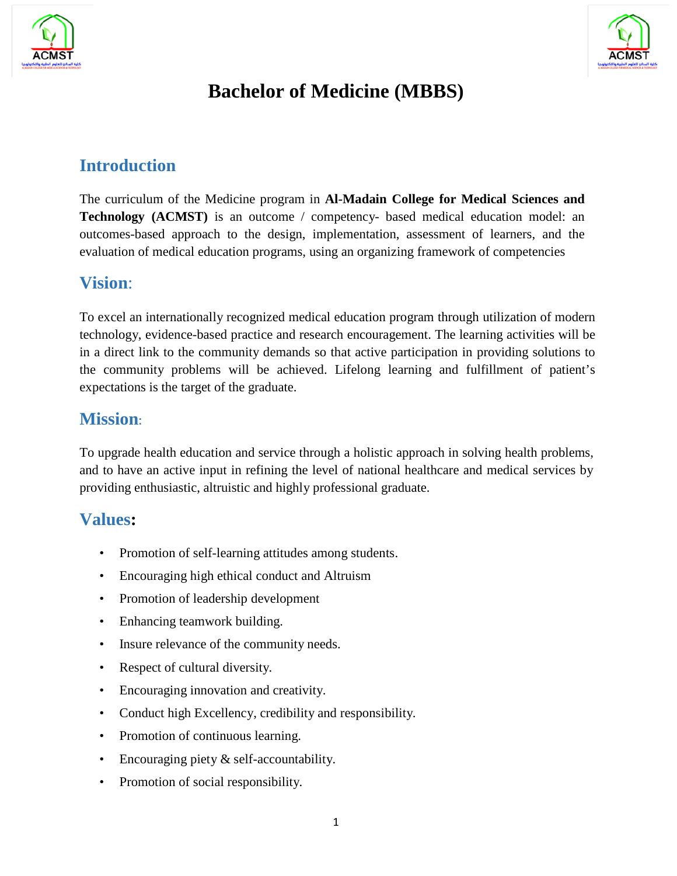



# **Bachelor of Medicine (MBBS)**

#### **Introduction**

The curriculum of the Medicine program in **Al-Madain College for Medical Sciences and Technology (ACMST)** is an outcome / competency- based medical education model: an outcomes-based approach to the design, implementation, assessment of learners, and the evaluation of medical education programs, using an organizing framework of competencies

#### **Vision**:

To excel an internationally recognized medical education program through utilization of modern technology, evidence-based practice and research encouragement. The learning activities will be in a direct link to the community demands so that active participation in providing solutions to the community problems will be achieved. Lifelong learning and fulfillment of patient's expectations is the target of the graduate.

#### **Mission**:

To upgrade health education and service through a holistic approach in solving health problems, and to have an active input in refining the level of national healthcare and medical services by providing enthusiastic, altruistic and highly professional graduate.

#### **Values:**

- Promotion of self-learning attitudes among students.
- Encouraging high ethical conduct and Altruism
- Promotion of leadership development
- Enhancing teamwork building.
- Insure relevance of the community needs.
- Respect of cultural diversity.
- Encouraging innovation and creativity.
- Conduct high Excellency, credibility and responsibility.
- Promotion of continuous learning.
- Encouraging piety & self-accountability.
- Promotion of social responsibility.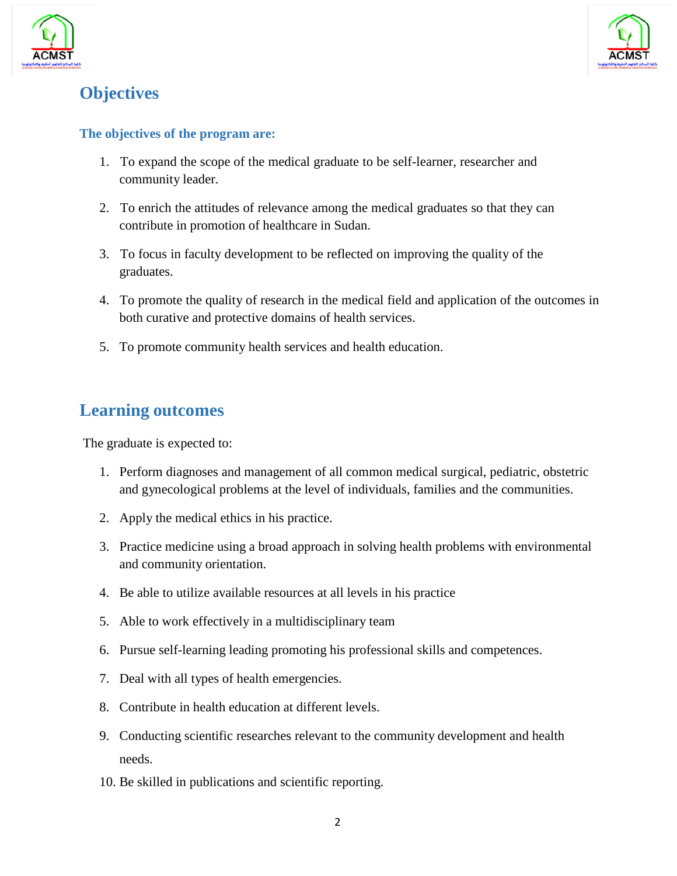



### **Objectives**

#### **The objectives of the program are:**

- 1. To expand the scope of the medical graduate to be self-learner, researcher and community leader.
- 2. To enrich the attitudes of relevance among the medical graduates so that they can contribute in promotion of healthcare in Sudan.
- 3. To focus in faculty development to be reflected on improving the quality of the graduates.
- 4. To promote the quality of research in the medical field and application of the outcomes in both curative and protective domains of health services.
- 5. To promote community health services and health education.

#### **Learning outcomes**

The graduate is expected to:

- 1. Perform diagnoses and management of all common medical surgical, pediatric, obstetric and gynecological problems at the level of individuals, families and the communities.
- 2. Apply the medical ethics in his practice.
- 3. Practice medicine using a broad approach in solving health problems with environmental and community orientation.
- 4. Be able to utilize available resources at all levels in his practice
- 5. Able to work effectively in a multidisciplinary team
- 6. Pursue self-learning leading promoting his professional skills and competences.
- 7. Deal with all types of health emergencies.
- 8. Contribute in health education at different levels.
- 9. Conducting scientific researches relevant to the community development and health needs.
- 10. Be skilled in publications and scientific reporting.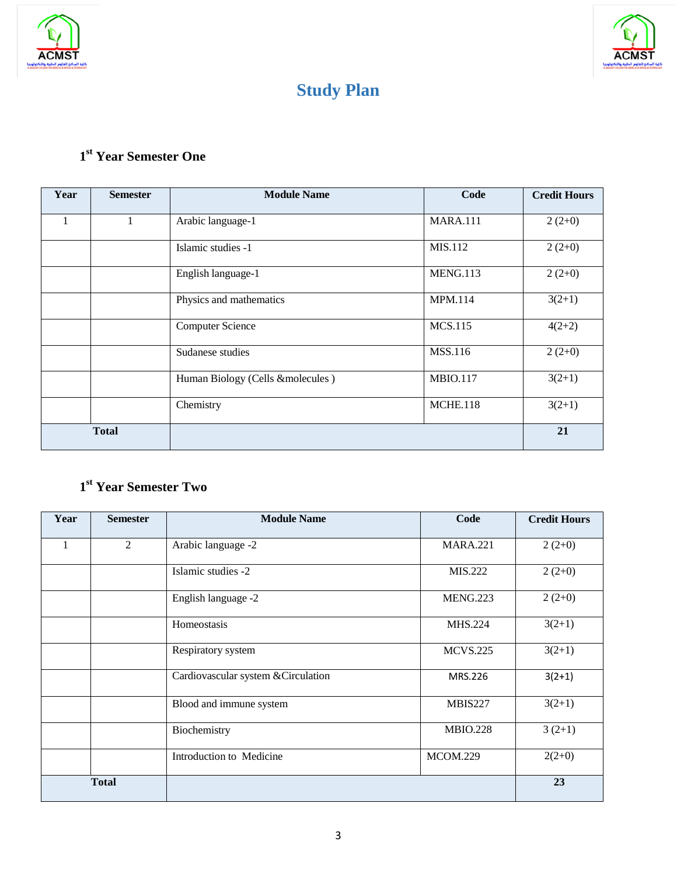



# **Study Plan**

## **1st Year Semester One**

| Year | <b>Semester</b> | <b>Module Name</b>               | Code            | <b>Credit Hours</b> |
|------|-----------------|----------------------------------|-----------------|---------------------|
| 1    |                 | Arabic language-1                | <b>MARA.111</b> | $2(2+0)$            |
|      |                 | Islamic studies -1               | MIS.112         | $2(2+0)$            |
|      |                 | English language-1               | <b>MENG.113</b> | $2(2+0)$            |
|      |                 | Physics and mathematics          | <b>MPM.114</b>  | $3(2+1)$            |
|      |                 | <b>Computer Science</b>          | <b>MCS.115</b>  | $4(2+2)$            |
|      |                 | Sudanese studies                 | <b>MSS.116</b>  | $2(2+0)$            |
|      |                 | Human Biology (Cells &molecules) | <b>MBIO.117</b> | $3(2+1)$            |
|      |                 | Chemistry                        | <b>MCHE.118</b> | $3(2+1)$            |
|      | <b>Total</b>    |                                  |                 | 21                  |

### **1st Year Semester Two**

| Year | <b>Semester</b> | <b>Module Name</b>                  | Code            | <b>Credit Hours</b> |
|------|-----------------|-------------------------------------|-----------------|---------------------|
| 1    | 2               | Arabic language -2                  | <b>MARA.221</b> | $2(2+0)$            |
|      |                 | Islamic studies -2                  | MIS.222         | $2(2+0)$            |
|      |                 | English language -2                 | MENG.223        | $2(2+0)$            |
|      |                 | Homeostasis                         | <b>MHS.224</b>  | $3(2+1)$            |
|      |                 | Respiratory system                  | <b>MCVS.225</b> | $3(2+1)$            |
|      |                 | Cardiovascular system & Circulation | MRS.226         | $3(2+1)$            |
|      |                 | Blood and immune system             | <b>MBIS227</b>  | $3(2+1)$            |
|      |                 | Biochemistry                        | <b>MBIO.228</b> | $3(2+1)$            |
|      |                 | Introduction to Medicine            | <b>MCOM.229</b> | $2(2+0)$            |
|      | <b>Total</b>    |                                     |                 | 23                  |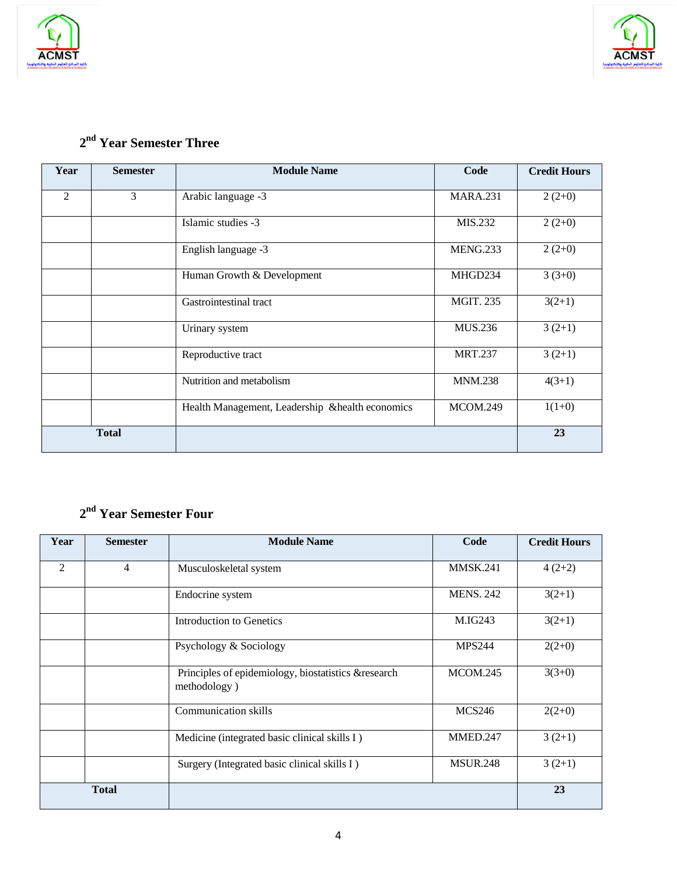



#### **2nd Year Semester Three**

| Year           | <b>Semester</b> | <b>Module Name</b>                               | Code             | <b>Credit Hours</b> |
|----------------|-----------------|--------------------------------------------------|------------------|---------------------|
| $\overline{2}$ | 3               | Arabic language -3                               | <b>MARA.231</b>  | $2(2+0)$            |
|                |                 | Islamic studies -3                               | MIS.232          | $2(2+0)$            |
|                |                 | English language -3                              | <b>MENG.233</b>  | $2(2+0)$            |
|                |                 | Human Growth & Development                       | MHGD234          | $3(3+0)$            |
|                |                 | Gastrointestinal tract                           | <b>MGIT. 235</b> | $3(2+1)$            |
|                |                 | Urinary system                                   | MUS.236          | $3(2+1)$            |
|                |                 | Reproductive tract                               | <b>MRT.237</b>   | $3(2+1)$            |
|                |                 | Nutrition and metabolism                         | <b>MNM.238</b>   | $4(3+1)$            |
|                |                 | Health Management, Leadership & health economics | MCOM.249         | $1(1+0)$            |
|                | <b>Total</b>    |                                                  |                  | 23                  |

#### **2nd Year Semester Four**

| Year           | <b>Semester</b> | <b>Module Name</b>                                                  | Code             | <b>Credit Hours</b> |
|----------------|-----------------|---------------------------------------------------------------------|------------------|---------------------|
| $\mathfrak{D}$ | $\overline{4}$  | Musculoskeletal system                                              | <b>MMSK.241</b>  | $4(2+2)$            |
|                |                 | Endocrine system                                                    | <b>MENS. 242</b> | $3(2+1)$            |
|                |                 | Introduction to Genetics                                            | M.IG243          | $3(2+1)$            |
|                |                 | Psychology & Sociology                                              | <b>MPS244</b>    | $2(2+0)$            |
|                |                 | Principles of epidemiology, biostatistics &research<br>methodology) | <b>MCOM.245</b>  | $3(3+0)$            |
|                |                 | <b>Communication skills</b>                                         | <b>MCS246</b>    | $2(2+0)$            |
|                |                 | Medicine (integrated basic clinical skills I)                       | MMED.247         | $3(2+1)$            |
|                |                 | Surgery (Integrated basic clinical skills I)                        | <b>MSUR.248</b>  | $3(2+1)$            |
|                | <b>Total</b>    |                                                                     |                  | 23                  |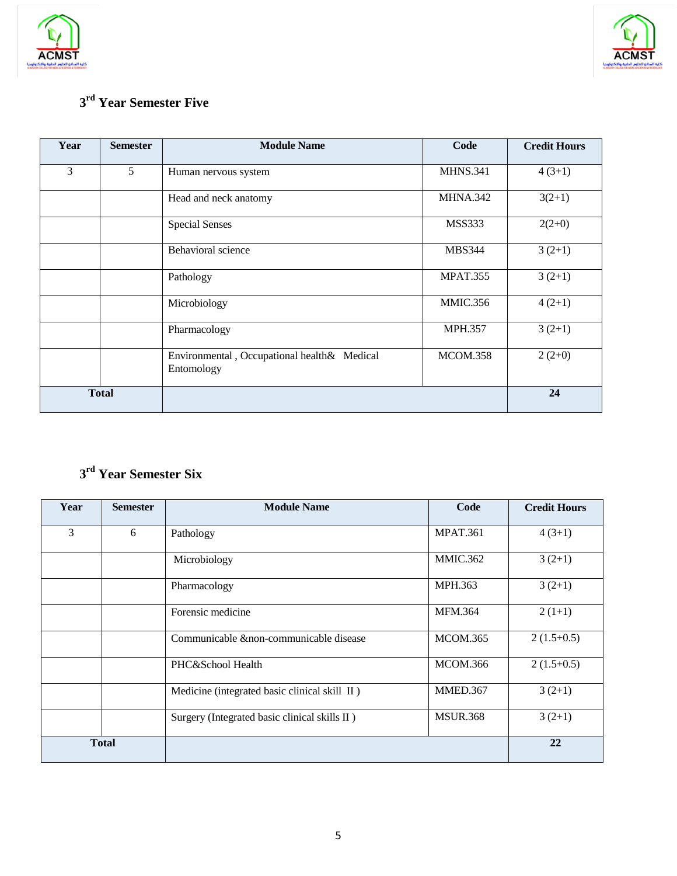



#### **3rd Year Semester Five**

| Year         | <b>Semester</b> | <b>Module Name</b>                                        | Code            | <b>Credit Hours</b> |
|--------------|-----------------|-----------------------------------------------------------|-----------------|---------------------|
| 3            | 5               | Human nervous system                                      | <b>MHNS.341</b> | $4(3+1)$            |
|              |                 | Head and neck anatomy                                     | <b>MHNA.342</b> | $3(2+1)$            |
|              |                 | <b>Special Senses</b>                                     | <b>MSS333</b>   | $2(2+0)$            |
|              |                 | <b>Behavioral</b> science                                 | <b>MBS344</b>   | $3(2+1)$            |
|              |                 | Pathology                                                 | <b>MPAT.355</b> | $3(2+1)$            |
|              |                 | Microbiology                                              | <b>MMIC.356</b> | $4(2+1)$            |
|              |                 | Pharmacology                                              | <b>MPH.357</b>  | $3(2+1)$            |
|              |                 | Environmental, Occupational health& Medical<br>Entomology | MCOM.358        | $2(2+0)$            |
| <b>Total</b> |                 |                                                           |                 | 24                  |

## **3rd Year Semester Six**

| Year         | <b>Semester</b> | <b>Module Name</b>                             | Code            | <b>Credit Hours</b> |
|--------------|-----------------|------------------------------------------------|-----------------|---------------------|
| 3            | 6               | Pathology                                      | <b>MPAT.361</b> | $4(3+1)$            |
|              |                 | Microbiology                                   | <b>MMIC.362</b> | $3(2+1)$            |
|              |                 | Pharmacology                                   | MPH.363         | $3(2+1)$            |
|              |                 | Forensic medicine                              | <b>MFM.364</b>  | $2(1+1)$            |
|              |                 | Communicable & non-communicable disease        | <b>MCOM.365</b> | $2(1.5+0.5)$        |
|              |                 | PHC&School Health                              | <b>MCOM.366</b> | $2(1.5+0.5)$        |
|              |                 | Medicine (integrated basic clinical skill II)  | MMED.367        | $3(2+1)$            |
|              |                 | Surgery (Integrated basic clinical skills II ) | <b>MSUR.368</b> | $3(2+1)$            |
| <b>Total</b> |                 |                                                |                 | 22                  |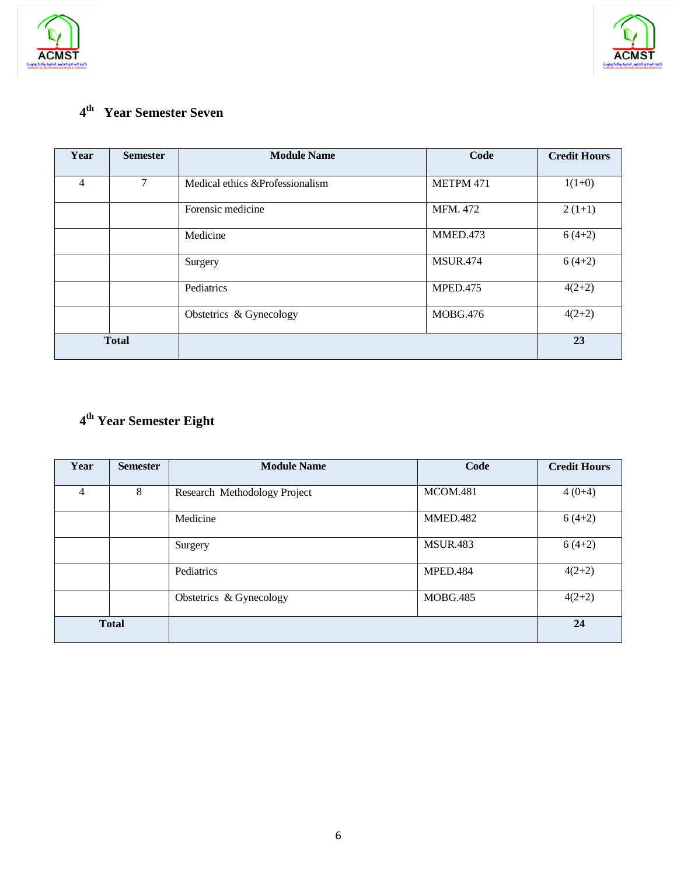



## **4th Year Semester Seven**

| Year           | <b>Semester</b> | <b>Module Name</b>               | Code            | <b>Credit Hours</b> |
|----------------|-----------------|----------------------------------|-----------------|---------------------|
| $\overline{4}$ | $\tau$          | Medical ethics & Professionalism | METPM 471       | $1(1+0)$            |
|                |                 | Forensic medicine                | MFM. 472        | $2(1+1)$            |
|                |                 | Medicine                         | MMED.473        | $6(4+2)$            |
|                |                 | Surgery                          | <b>MSUR.474</b> | $6(4+2)$            |
|                |                 | Pediatrics                       | MPED.475        | $4(2+2)$            |
|                |                 | Obstetrics & Gynecology          | <b>MOBG.476</b> | $4(2+2)$            |
| <b>Total</b>   |                 |                                  |                 | 23                  |

## **4th Year Semester Eight**

| Year         | <b>Semester</b> | <b>Module Name</b>           | Code            | <b>Credit Hours</b> |
|--------------|-----------------|------------------------------|-----------------|---------------------|
| 4            | 8               | Research Methodology Project | <b>MCOM.481</b> | $4(0+4)$            |
|              |                 | Medicine                     | MMED.482        | $6(4+2)$            |
|              |                 | Surgery                      | <b>MSUR.483</b> | $6(4+2)$            |
|              |                 | Pediatrics                   | MPED.484        | $4(2+2)$            |
|              |                 | Obstetrics & Gynecology      | <b>MOBG.485</b> | $4(2+2)$            |
| <b>Total</b> |                 |                              |                 | 24                  |